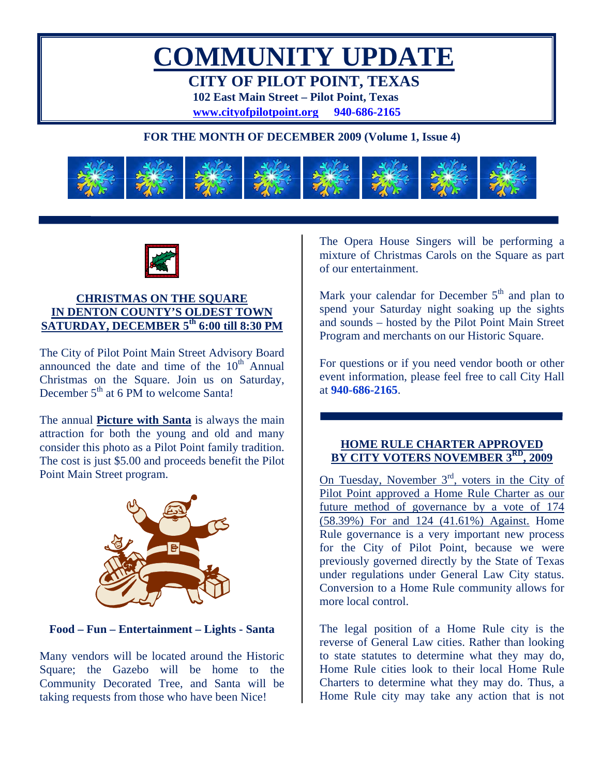# **COMMUNITY UPDATE CITY OF PILOT POINT, TEXAS**

**102 East Main Street – Pilot Point, Texas** 

**www.cityofpilotpoint.org 940-686-2165**

# **FOR THE MONTH OF DECEMBER 2009 (Volume 1, Issue 4)**





# **CHRISTMAS ON THE SQUARE IN DENTON COUNTY'S OLDEST TOWN SATURDAY, DECEMBER 5th 6:00 till 8:30 PM**

The City of Pilot Point Main Street Advisory Board announced the date and time of the  $10<sup>th</sup>$  Annual Christmas on the Square. Join us on Saturday, December 5<sup>th</sup> at 6 PM to welcome Santa!

The annual **Picture with Santa** is always the main attraction for both the young and old and many consider this photo as a Pilot Point family tradition. The cost is just \$5.00 and proceeds benefit the Pilot Point Main Street program.



# **Food – Fun – Entertainment – Lights - Santa**

Many vendors will be located around the Historic Square; the Gazebo will be home to the Community Decorated Tree, and Santa will be taking requests from those who have been Nice!

The Opera House Singers will be performing a mixture of Christmas Carols on the Square as part of our entertainment.

Mark your calendar for December  $5<sup>th</sup>$  and plan to spend your Saturday night soaking up the sights and sounds – hosted by the Pilot Point Main Street Program and merchants on our Historic Square.

For questions or if you need vendor booth or other event information, please feel free to call City Hall at **940-686-2165**.

#### **HOME RULE CHARTER APPROVED BY CITY VOTERS NOVEMBER 3RD, 2009**

On Tuesday, November  $3<sup>rd</sup>$ , voters in the City of Pilot Point approved a Home Rule Charter as our future method of governance by a vote of 174 (58.39%) For and 124 (41.61%) Against. Home Rule governance is a very important new process for the City of Pilot Point, because we were previously governed directly by the State of Texas under regulations under General Law City status. Conversion to a Home Rule community allows for more local control.

The legal position of a Home Rule city is the reverse of General Law cities. Rather than looking to state statutes to determine what they may do, Home Rule cities look to their local Home Rule Charters to determine what they may do. Thus, a Home Rule city may take any action that is not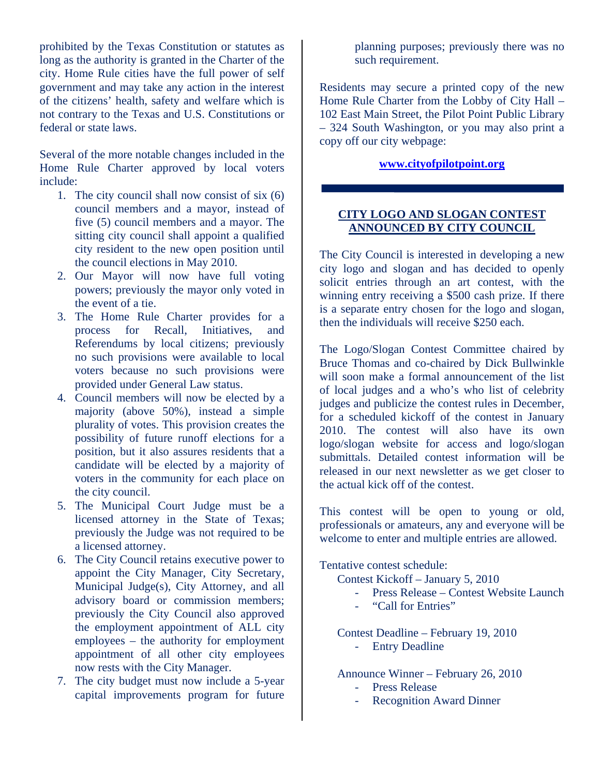prohibited by the Texas Constitution or statutes as long as the authority is granted in the Charter of the city. Home Rule cities have the full power of self government and may take any action in the interest of the citizens' health, safety and welfare which is not contrary to the Texas and U.S. Constitutions or federal or state laws.

Several of the more notable changes included in the Home Rule Charter approved by local voters include:

- 1. The city council shall now consist of six (6) council members and a mayor, instead of five (5) council members and a mayor. The sitting city council shall appoint a qualified city resident to the new open position until the council elections in May 2010.
- 2. Our Mayor will now have full voting powers; previously the mayor only voted in the event of a tie.
- 3. The Home Rule Charter provides for a process for Recall, Initiatives, and Referendums by local citizens; previously no such provisions were available to local voters because no such provisions were provided under General Law status.
- 4. Council members will now be elected by a majority (above 50%), instead a simple plurality of votes. This provision creates the possibility of future runoff elections for a position, but it also assures residents that a candidate will be elected by a majority of voters in the community for each place on the city council.
- 5. The Municipal Court Judge must be a licensed attorney in the State of Texas; previously the Judge was not required to be a licensed attorney.
- 6. The City Council retains executive power to appoint the City Manager, City Secretary, Municipal Judge(s), City Attorney, and all advisory board or commission members; previously the City Council also approved the employment appointment of ALL city employees – the authority for employment appointment of all other city employees now rests with the City Manager.
- 7. The city budget must now include a 5-year capital improvements program for future

planning purposes; previously there was no such requirement.

Residents may secure a printed copy of the new Home Rule Charter from the Lobby of City Hall – 102 East Main Street, the Pilot Point Public Library – 324 South Washington, or you may also print a copy off our city webpage:

#### **www.cityofpilotpoint.org**

## **CITY LOGO AND SLOGAN CONTEST ANNOUNCED BY CITY COUNCIL**

The City Council is interested in developing a new city logo and slogan and has decided to openly solicit entries through an art contest, with the winning entry receiving a \$500 cash prize. If there is a separate entry chosen for the logo and slogan, then the individuals will receive \$250 each.

The Logo/Slogan Contest Committee chaired by Bruce Thomas and co-chaired by Dick Bullwinkle will soon make a formal announcement of the list of local judges and a who's who list of celebrity judges and publicize the contest rules in December, for a scheduled kickoff of the contest in January 2010. The contest will also have its own logo/slogan website for access and logo/slogan submittals. Detailed contest information will be released in our next newsletter as we get closer to the actual kick off of the contest.

This contest will be open to young or old, professionals or amateurs, any and everyone will be welcome to enter and multiple entries are allowed.

Tentative contest schedule:

Contest Kickoff – January 5, 2010

- Press Release Contest Website Launch
- "Call for Entries"

Contest Deadline – February 19, 2010 - Entry Deadline

Announce Winner – February 26, 2010

- Press Release
- Recognition Award Dinner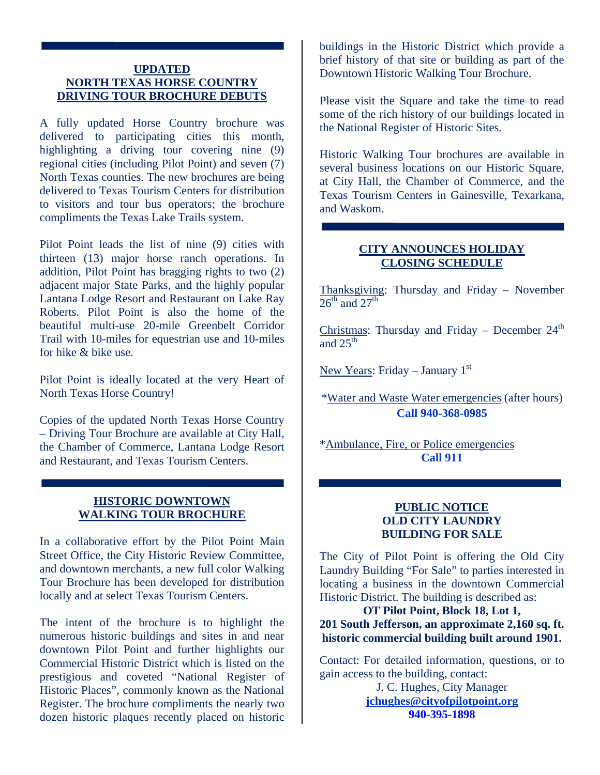#### **UPDATED NORTH TEXAS HORSE COUNTRY DRIVING TOUR BROCHURE DEBUTS**

A fully updated Horse Country brochure was delivered to participating cities this month, highlighting a driving tour covering nine (9) regional cities (including Pilot Point) and seven (7) North Texas counties. The new brochures are being delivered to Texas Tourism Centers for distribution to visitors and tour bus operators; the brochure compliments the Texas Lake Trails system.

Pilot Point leads the list of nine (9) cities with thirteen (13) major horse ranch operations. In addition, Pilot Point has bragging rights to two (2) adjacent major State Parks, and the highly popular Lantana Lodge Resort and Restaurant on Lake Ray Roberts. Pilot Point is also the home of the beautiful multi-use 20-mile Greenbelt Corridor Trail with 10-miles for equestrian use and 10-miles for hike & bike use.

Pilot Point is ideally located at the very Heart of North Texas Horse Country!

Copies of the updated North Texas Horse Country – Driving Tour Brochure are available at City Hall, the Chamber of Commerce, Lantana Lodge Resort and Restaurant, and Texas Tourism Centers.

# **HISTORIC DOWNTOWN WALKING TOUR BROCHURE**

In a collaborative effort by the Pilot Point Main Street Office, the City Historic Review Committee, and downtown merchants, a new full color Walking Tour Brochure has been developed for distribution locally and at select Texas Tourism Centers.

The intent of the brochure is to highlight the numerous historic buildings and sites in and near downtown Pilot Point and further highlights our Commercial Historic District which is listed on the prestigious and coveted "National Register of Historic Places", commonly known as the National Register. The brochure compliments the nearly two dozen historic plaques recently placed on historic

buildings in the Historic District which provide a brief history of that site or building as part of the Downtown Historic Walking Tour Brochure.

Please visit the Square and take the time to read some of the rich history of our buildings located in the National Register of Historic Sites.

Historic Walking Tour brochures are available in several business locations on our Historic Square, at City Hall, the Chamber of Commerce, and the Texas Tourism Centers in Gainesville, Texarkana, and Waskom.

## **CITY ANNOUNCES HOLIDAY CLOSING SCHEDULE**

Thanksgiving: Thursday and Friday – November  $26^{th}$  and  $27^{th}$ 

Christmas: Thursday and Friday – December  $24<sup>th</sup>$ and  $25^{\text{th}}$ 

New Years: Friday – January  $1<sup>st</sup>$ 

\*Water and Waste Water emergencies (after hours) **Call 940-368-0985** 

\*Ambulance, Fire, or Police emergencies **Call 911** 

## **PUBLIC NOTICE OLD CITY LAUNDRY BUILDING FOR SALE**

The City of Pilot Point is offering the Old City Laundry Building "For Sale" to parties interested in locating a business in the downtown Commercial Historic District. The building is described as:

# **OT Pilot Point, Block 18, Lot 1, 201 South Jefferson, an approximate 2,160 sq. ft. historic commercial building built around 1901.**

Contact: For detailed information, questions, or to gain access to the building, contact:

> J. C. Hughes, City Manager **jchughes@cityofpilotpoint.org 940-395-1898**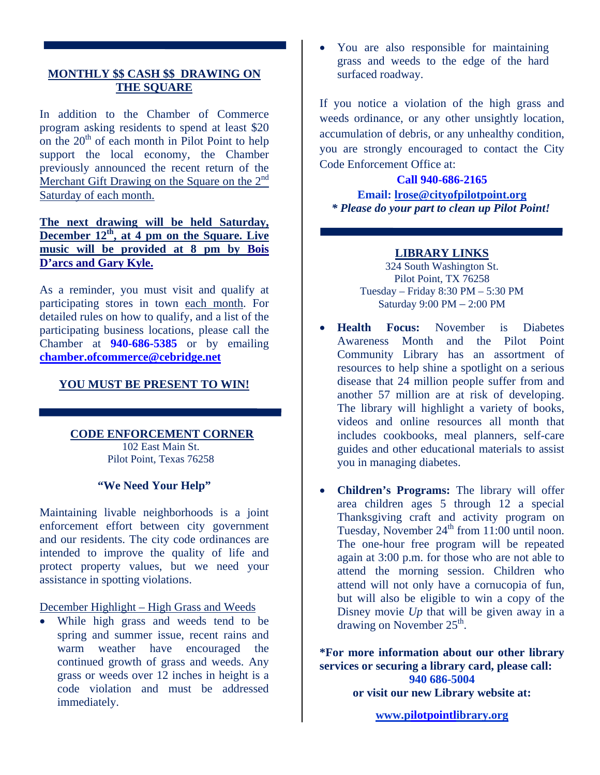# **MONTHLY \$\$ CASH \$\$ DRAWING ON THE SQUARE**

In addition to the Chamber of Commerce program asking residents to spend at least \$20 on the  $20<sup>th</sup>$  of each month in Pilot Point to help support the local economy, the Chamber previously announced the recent return of the Merchant Gift Drawing on the Square on the  $2<sup>nd</sup>$ Saturday of each month.

# **The next drawing will be held Saturday, December 12<sup>th</sup>, at 4 pm on the Square. Live music will be provided at 8 pm by Bois D'arcs and Gary Kyle.**

As a reminder, you must visit and qualify at participating stores in town each month. For detailed rules on how to qualify, and a list of the participating business locations, please call the Chamber at **940-686-5385** or by emailing **chamber.ofcommerce@cebridge.net**

## **YOU MUST BE PRESENT TO WIN!**

#### **CODE ENFORCEMENT CORNER**

102 East Main St. Pilot Point, Texas 76258

# **"We Need Your Help"**

Maintaining livable neighborhoods is a joint enforcement effort between city government and our residents. The city code ordinances are intended to improve the quality of life and protect property values, but we need your assistance in spotting violations.

December Highlight – High Grass and Weeds

• While high grass and weeds tend to be spring and summer issue, recent rains and warm weather have encouraged the continued growth of grass and weeds. Any grass or weeds over 12 inches in height is a code violation and must be addressed immediately.

• You are also responsible for maintaining grass and weeds to the edge of the hard surfaced roadway.

If you notice a violation of the high grass and weeds ordinance, or any other unsightly location, accumulation of debris, or any unhealthy condition, you are strongly encouraged to contact the City Code Enforcement Office at:

#### **Call 940-686-2165**

**Email: lrose@cityofpilotpoint.org** *\* Please do your part to clean up Pilot Point!* 

## **LIBRARY LINKS**

324 South Washington St. Pilot Point, TX 76258 Tuesday – Friday 8:30 PM – 5:30 PM Saturday 9:00 PM – 2:00 PM

- **Health Focus:** November is Diabetes Awareness Month and the Pilot Point Community Library has an assortment of resources to help shine a spotlight on a serious disease that 24 million people suffer from and another 57 million are at risk of developing. The library will highlight a variety of books, videos and online resources all month that includes cookbooks, meal planners, self-care guides and other educational materials to assist you in managing diabetes.
- **Children's Programs:** The library will offer area children ages 5 through 12 a special Thanksgiving craft and activity program on Tuesday, November  $24<sup>th</sup>$  from 11:00 until noon. The one-hour free program will be repeated again at 3:00 p.m. for those who are not able to attend the morning session. Children who attend will not only have a cornucopia of fun, but will also be eligible to win a copy of the Disney movie *Up* that will be given away in a drawing on November 25<sup>th</sup>.

**\*For more information about our other library services or securing a library card, please call: 940 686-5004 or visit our new Library website at:** 

**www.pilotpointlibrary.org**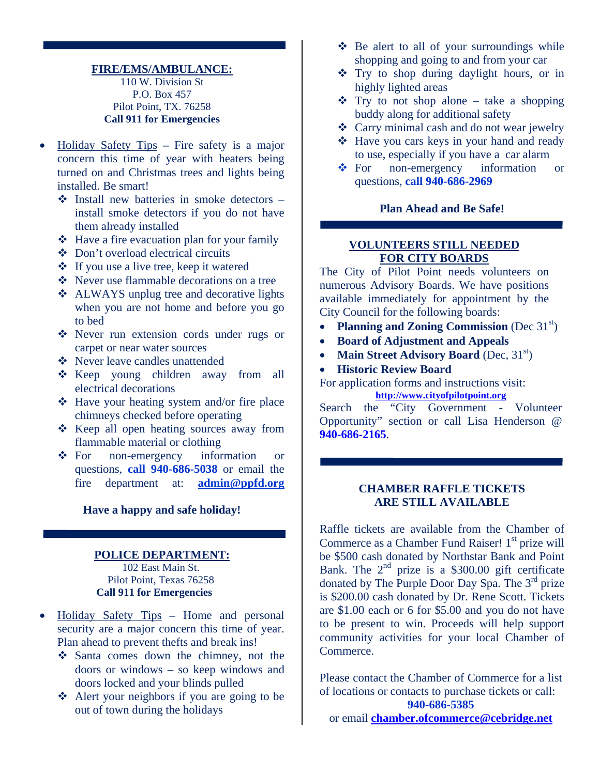#### **FIRE/EMS/AMBULANCE:** 110 W. Division St P.O. Box 457 Pilot Point, TX. 76258 **Call 911 for Emergencies**

- Holiday Safety Tips **–** Fire safety is a major concern this time of year with heaters being turned on and Christmas trees and lights being installed. Be smart!
	- $\triangle$  Install new batteries in smoke detectors install smoke detectors if you do not have them already installed
	- $\triangle$  Have a fire evacuation plan for your family
	- Don't overload electrical circuits
	- If you use a live tree, keep it watered
	- Never use flammable decorations on a tree
	- ❖ ALWAYS unplug tree and decorative lights when you are not home and before you go to bed
	- Never run extension cords under rugs or carpet or near water sources
	- Never leave candles unattended
	- \* Keep young children away from all electrical decorations
	- $\triangleleft$  Have your heating system and/or fire place chimneys checked before operating
	- ❖ Keep all open heating sources away from flammable material or clothing
	- For non-emergency information or questions, **call 940-686-5038** or email the fire department at: **admin@ppfd.org**

#### **Have a happy and safe holiday!**

#### **POLICE DEPARTMENT:** 102 East Main St. Pilot Point, Texas 76258 **Call 911 for Emergencies**

- Holiday Safety Tips **–** Home and personal security are a major concern this time of year. Plan ahead to prevent thefts and break ins!
	- Santa comes down the chimney, not the doors or windows – so keep windows and doors locked and your blinds pulled
	- Alert your neighbors if you are going to be out of town during the holidays
- $\triangle$  Be alert to all of your surroundings while shopping and going to and from your car
- Try to shop during daylight hours, or in highly lighted areas
- $\div$  Try to not shop alone take a shopping buddy along for additional safety
- Carry minimal cash and do not wear jewelry
- **❖** Have you cars keys in your hand and ready to use, especially if you have a car alarm
- For non-emergency information or questions, **call 940-686-2969**

#### **Plan Ahead and Be Safe!**

#### **VOLUNTEERS STILL NEEDED FOR CITY BOARDS**

The City of Pilot Point needs volunteers on numerous Advisory Boards. We have positions available immediately for appointment by the City Council for the following boards:

- **Planning and Zoning Commission** (Dec 31<sup>st</sup>)
- **Board of Adjustment and Appeals**
- **Main Street Advisory Board** (Dec, 31<sup>st</sup>)
- **Historic Review Board**

For application forms and instructions visit: **http://www.cityofpilotpoint.org**

Search the "City Government - Volunteer Opportunity" section or call Lisa Henderson @ **940-686-2165**.

#### **CHAMBER RAFFLE TICKETS ARE STILL AVAILABLE**

Raffle tickets are available from the Chamber of Commerce as a Chamber Fund Raiser!  $1<sup>st</sup>$  prize will be \$500 cash donated by Northstar Bank and Point Bank. The  $2<sup>nd</sup>$  prize is a \$300.00 gift certificate donated by The Purple Door Day Spa. The 3rd prize is \$200.00 cash donated by Dr. Rene Scott. Tickets are \$1.00 each or 6 for \$5.00 and you do not have to be present to win. Proceeds will help support community activities for your local Chamber of Commerce.

Please contact the Chamber of Commerce for a list of locations or contacts to purchase tickets or call: **940-686-5385**  or email **chamber.ofcommerce@cebridge.net**